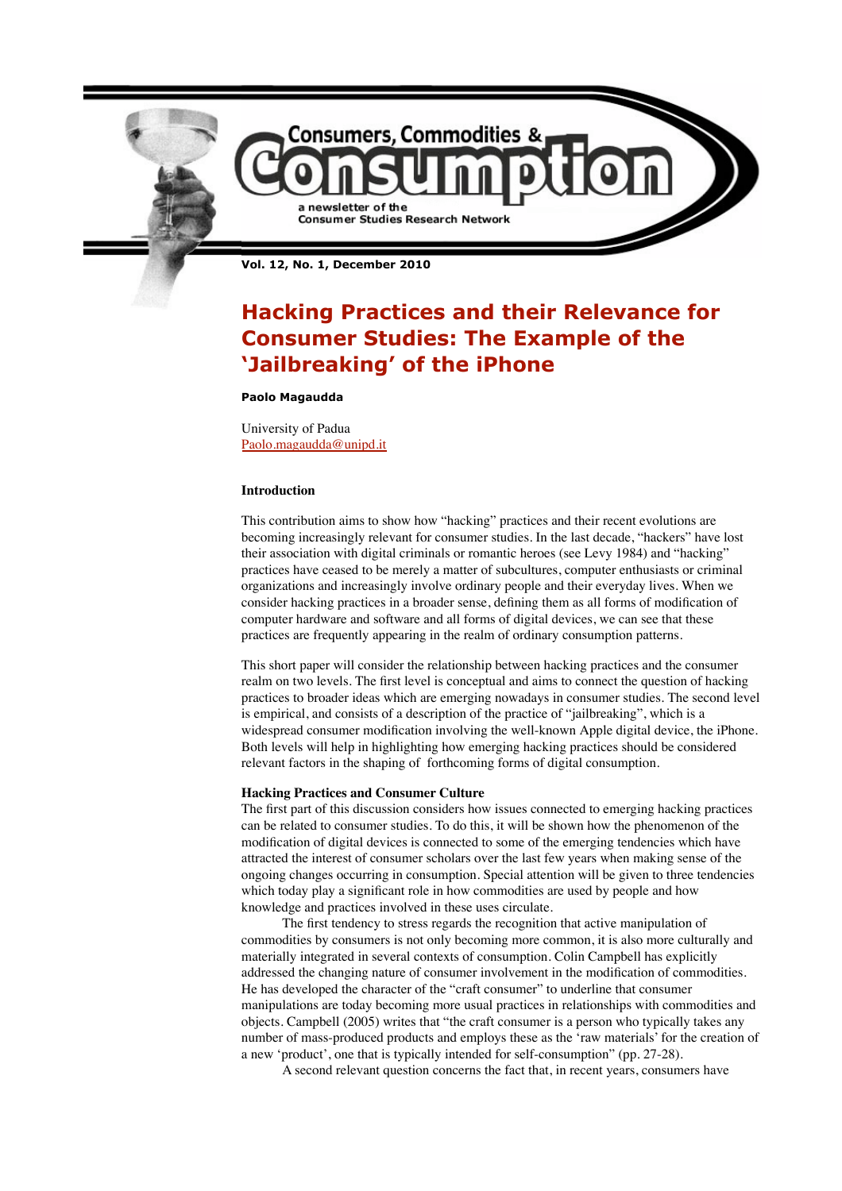

**Vol. 12, No. 1, December 2010**

# **Hacking Practices and their Relevance for Consumer Studies: The Example of the 'Jailbreaking' of the iPhone**

# **Paolo Magaudda**

University of Padua Paolo.magaudda@unipd.it

## **Introduction**

This contribution aims to show how "hacking" practices and their recent evolutions are becoming increasingly relevant for consumer studies. In the last decade, "hackers" have lost their association with digital criminals or romantic heroes (see Levy 1984) and "hacking" practices have ceased to be merely a matter of subcultures, computer enthusiasts or criminal organizations and increasingly involve ordinary people and their everyday lives. When we consider hacking practices in a broader sense, defining them as all forms of modification of computer hardware and software and all forms of digital devices, we can see that these practices are frequently appearing in the realm of ordinary consumption patterns.

This short paper will consider the relationship between hacking practices and the consumer realm on two levels. The first level is conceptual and aims to connect the question of hacking practices to broader ideas which are emerging nowadays in consumer studies. The second level is empirical, and consists of a description of the practice of "jailbreaking", which is a widespread consumer modification involving the well-known Apple digital device, the iPhone. Both levels will help in highlighting how emerging hacking practices should be considered relevant factors in the shaping of forthcoming forms of digital consumption.

#### **Hacking Practices and Consumer Culture**

The first part of this discussion considers how issues connected to emerging hacking practices can be related to consumer studies. To do this, it will be shown how the phenomenon of the modification of digital devices is connected to some of the emerging tendencies which have attracted the interest of consumer scholars over the last few years when making sense of the ongoing changes occurring in consumption. Special attention will be given to three tendencies which today play a significant role in how commodities are used by people and how knowledge and practices involved in these uses circulate.

 The first tendency to stress regards the recognition that active manipulation of commodities by consumers is not only becoming more common, it is also more culturally and materially integrated in several contexts of consumption. Colin Campbell has explicitly addressed the changing nature of consumer involvement in the modification of commodities. He has developed the character of the "craft consumer" to underline that consumer manipulations are today becoming more usual practices in relationships with commodities and objects. Campbell (2005) writes that "the craft consumer is a person who typically takes any number of mass-produced products and employs these as the 'raw materials' for the creation of a new 'product', one that is typically intended for self-consumption" (pp. 27-28).

A second relevant question concerns the fact that, in recent years, consumers have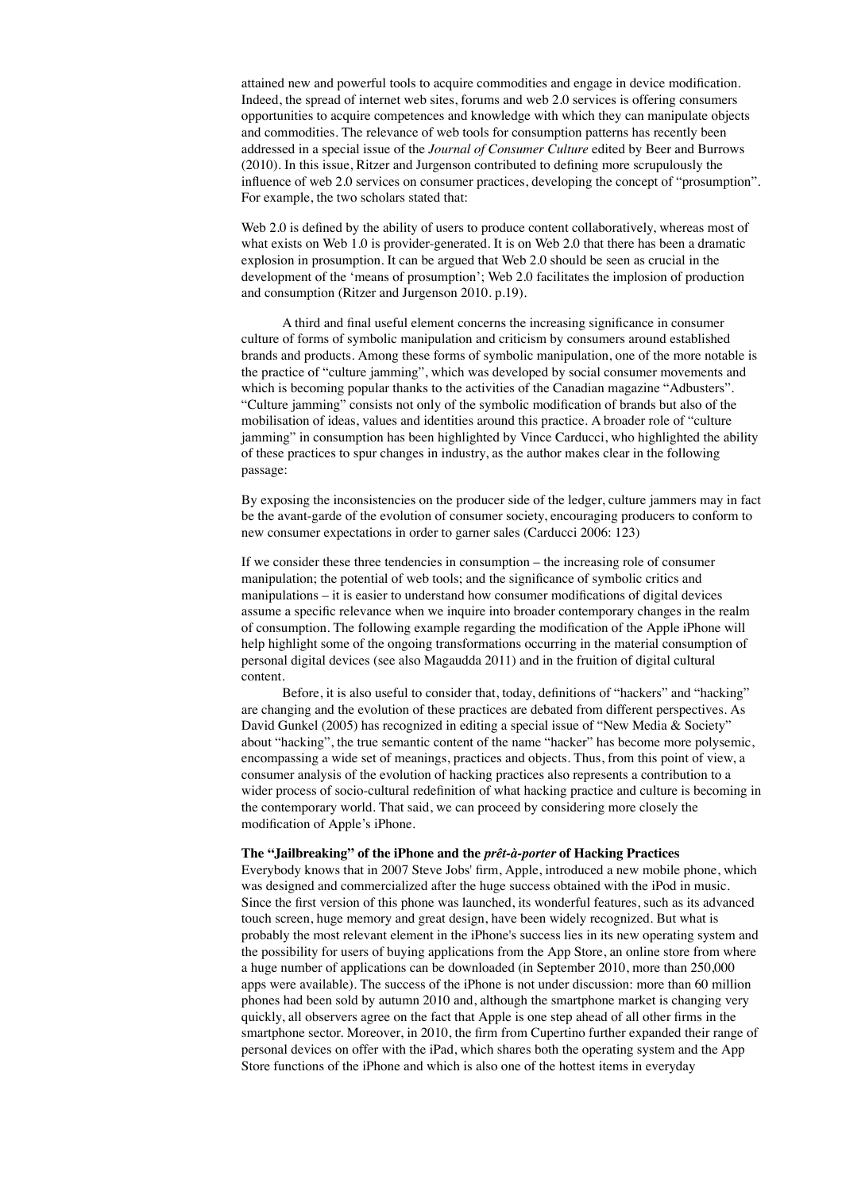attained new and powerful tools to acquire commodities and engage in device modification. Indeed, the spread of internet web sites, forums and web 2.0 services is offering consumers opportunities to acquire competences and knowledge with which they can manipulate objects and commodities. The relevance of web tools for consumption patterns has recently been addressed in a special issue of the *Journal of Consumer Culture* edited by Beer and Burrows (2010). In this issue, Ritzer and Jurgenson contributed to defining more scrupulously the influence of web 2.0 services on consumer practices, developing the concept of "prosumption". For example, the two scholars stated that:

Web 2.0 is defined by the ability of users to produce content collaboratively, whereas most of what exists on Web 1.0 is provider-generated. It is on Web 2.0 that there has been a dramatic explosion in prosumption. It can be argued that Web 2.0 should be seen as crucial in the development of the 'means of prosumption'; Web 2.0 facilitates the implosion of production and consumption (Ritzer and Jurgenson 2010. p.19).

 A third and final useful element concerns the increasing significance in consumer culture of forms of symbolic manipulation and criticism by consumers around established brands and products. Among these forms of symbolic manipulation, one of the more notable is the practice of "culture jamming", which was developed by social consumer movements and which is becoming popular thanks to the activities of the Canadian magazine "Adbusters". "Culture jamming" consists not only of the symbolic modification of brands but also of the mobilisation of ideas, values and identities around this practice. A broader role of "culture jamming" in consumption has been highlighted by Vince Carducci, who highlighted the ability of these practices to spur changes in industry, as the author makes clear in the following passage:

By exposing the inconsistencies on the producer side of the ledger, culture jammers may in fact be the avant-garde of the evolution of consumer society, encouraging producers to conform to new consumer expectations in order to garner sales (Carducci 2006: 123)

If we consider these three tendencies in consumption – the increasing role of consumer manipulation; the potential of web tools; and the significance of symbolic critics and manipulations – it is easier to understand how consumer modifications of digital devices assume a specific relevance when we inquire into broader contemporary changes in the realm of consumption. The following example regarding the modification of the Apple iPhone will help highlight some of the ongoing transformations occurring in the material consumption of personal digital devices (see also Magaudda 2011) and in the fruition of digital cultural content.

 Before, it is also useful to consider that, today, definitions of "hackers" and "hacking" are changing and the evolution of these practices are debated from different perspectives. As David Gunkel (2005) has recognized in editing a special issue of "New Media & Society" about "hacking", the true semantic content of the name "hacker" has become more polysemic, encompassing a wide set of meanings, practices and objects. Thus, from this point of view, a consumer analysis of the evolution of hacking practices also represents a contribution to a wider process of socio-cultural redefinition of what hacking practice and culture is becoming in the contemporary world. That said, we can proceed by considering more closely the modification of Apple's iPhone.

#### **The "Jailbreaking" of the iPhone and the** *prêt-à-porter* **of Hacking Practices**

Everybody knows that in 2007 Steve Jobs' firm, Apple, introduced a new mobile phone, which was designed and commercialized after the huge success obtained with the iPod in music. Since the first version of this phone was launched, its wonderful features, such as its advanced touch screen, huge memory and great design, have been widely recognized. But what is probably the most relevant element in the iPhone's success lies in its new operating system and the possibility for users of buying applications from the App Store, an online store from where a huge number of applications can be downloaded (in September 2010, more than 250,000 apps were available). The success of the iPhone is not under discussion: more than 60 million phones had been sold by autumn 2010 and, although the smartphone market is changing very quickly, all observers agree on the fact that Apple is one step ahead of all other firms in the smartphone sector. Moreover, in 2010, the firm from Cupertino further expanded their range of personal devices on offer with the iPad, which shares both the operating system and the App Store functions of the iPhone and which is also one of the hottest items in everyday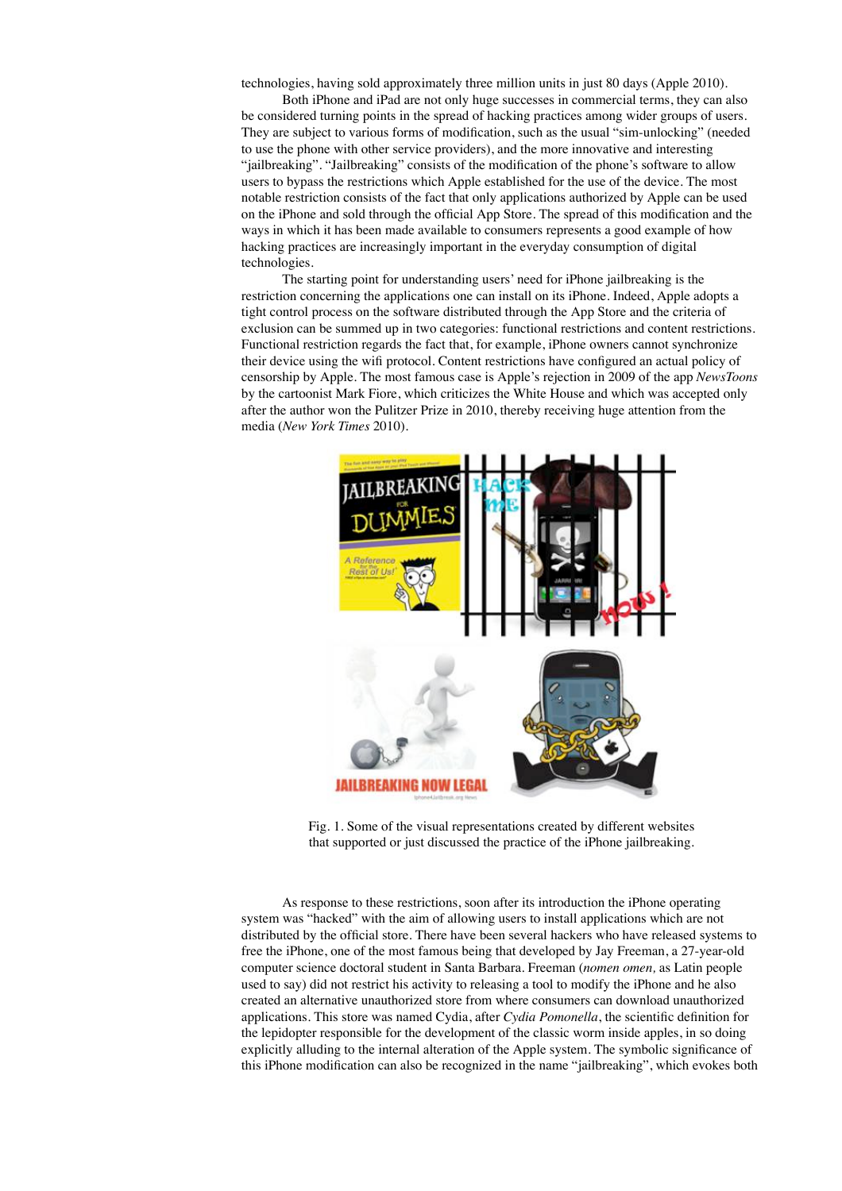technologies, having sold approximately three million units in just 80 days (Apple 2010).

 Both iPhone and iPad are not only huge successes in commercial terms, they can also be considered turning points in the spread of hacking practices among wider groups of users. They are subject to various forms of modification, such as the usual "sim-unlocking" (needed to use the phone with other service providers), and the more innovative and interesting "jailbreaking". "Jailbreaking" consists of the modification of the phone's software to allow users to bypass the restrictions which Apple established for the use of the device. The most notable restriction consists of the fact that only applications authorized by Apple can be used on the iPhone and sold through the official App Store. The spread of this modification and the ways in which it has been made available to consumers represents a good example of how hacking practices are increasingly important in the everyday consumption of digital technologies.

 The starting point for understanding users' need for iPhone jailbreaking is the restriction concerning the applications one can install on its iPhone. Indeed, Apple adopts a tight control process on the software distributed through the App Store and the criteria of exclusion can be summed up in two categories: functional restrictions and content restrictions. Functional restriction regards the fact that, for example, iPhone owners cannot synchronize their device using the wifi protocol. Content restrictions have configured an actual policy of censorship by Apple. The most famous case is Apple's rejection in 2009 of the app *NewsToons* by the cartoonist Mark Fiore, which criticizes the White House and which was accepted only after the author won the Pulitzer Prize in 2010, thereby receiving huge attention from the media (*New York Times* 2010).



Fig. 1. Some of the visual representations created by different websites that supported or just discussed the practice of the iPhone jailbreaking.

 As response to these restrictions, soon after its introduction the iPhone operating system was "hacked" with the aim of allowing users to install applications which are not distributed by the official store. There have been several hackers who have released systems to free the iPhone, one of the most famous being that developed by Jay Freeman, a 27-year-old computer science doctoral student in Santa Barbara. Freeman (*nomen omen,* as Latin people used to say) did not restrict his activity to releasing a tool to modify the iPhone and he also created an alternative unauthorized store from where consumers can download unauthorized applications. This store was named Cydia, after *Cydia Pomonella*, the scientific definition for the lepidopter responsible for the development of the classic worm inside apples, in so doing explicitly alluding to the internal alteration of the Apple system. The symbolic significance of this iPhone modification can also be recognized in the name "jailbreaking", which evokes both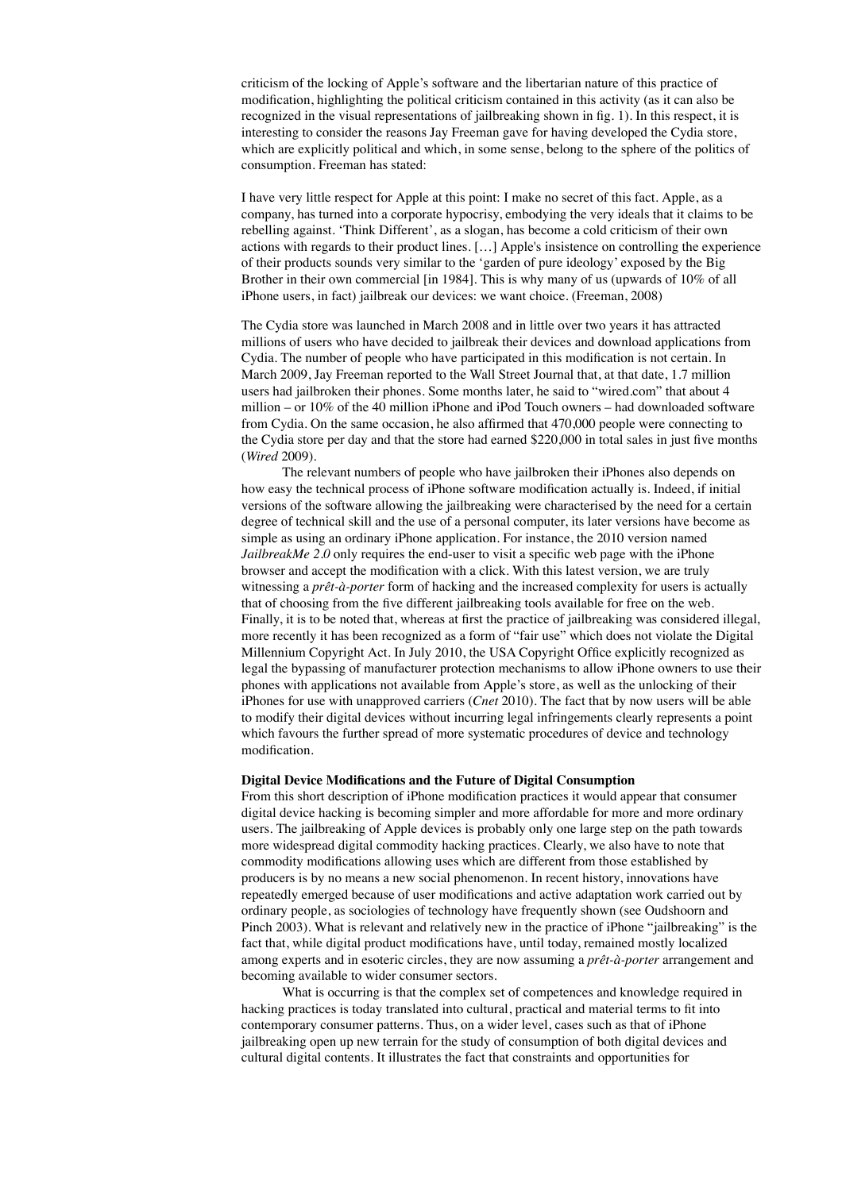criticism of the locking of Apple's software and the libertarian nature of this practice of modification, highlighting the political criticism contained in this activity (as it can also be recognized in the visual representations of jailbreaking shown in fig. 1). In this respect, it is interesting to consider the reasons Jay Freeman gave for having developed the Cydia store, which are explicitly political and which, in some sense, belong to the sphere of the politics of consumption. Freeman has stated:

I have very little respect for Apple at this point: I make no secret of this fact. Apple, as a company, has turned into a corporate hypocrisy, embodying the very ideals that it claims to be rebelling against. 'Think Different', as a slogan, has become a cold criticism of their own actions with regards to their product lines. […] Apple's insistence on controlling the experience of their products sounds very similar to the 'garden of pure ideology' exposed by the Big Brother in their own commercial [in 1984]. This is why many of us (upwards of 10% of all iPhone users, in fact) jailbreak our devices: we want choice. (Freeman, 2008)

The Cydia store was launched in March 2008 and in little over two years it has attracted millions of users who have decided to jailbreak their devices and download applications from Cydia. The number of people who have participated in this modification is not certain. In March 2009, Jay Freeman reported to the Wall Street Journal that, at that date, 1.7 million users had jailbroken their phones. Some months later, he said to "wired.com" that about 4 million – or 10% of the 40 million iPhone and iPod Touch owners – had downloaded software from Cydia. On the same occasion, he also affirmed that 470,000 people were connecting to the Cydia store per day and that the store had earned \$220,000 in total sales in just five months (*Wired* 2009).

 The relevant numbers of people who have jailbroken their iPhones also depends on how easy the technical process of iPhone software modification actually is. Indeed, if initial versions of the software allowing the jailbreaking were characterised by the need for a certain degree of technical skill and the use of a personal computer, its later versions have become as simple as using an ordinary iPhone application. For instance, the 2010 version named *JailbreakMe 2.0* only requires the end-user to visit a specific web page with the iPhone browser and accept the modification with a click. With this latest version, we are truly witnessing a *prêt-à-porter* form of hacking and the increased complexity for users is actually that of choosing from the five different jailbreaking tools available for free on the web. Finally, it is to be noted that, whereas at first the practice of jailbreaking was considered illegal, more recently it has been recognized as a form of "fair use" which does not violate the Digital Millennium Copyright Act. In July 2010, the USA Copyright Office explicitly recognized as legal the bypassing of manufacturer protection mechanisms to allow iPhone owners to use their phones with applications not available from Apple's store, as well as the unlocking of their iPhones for use with unapproved carriers (*Cnet* 2010). The fact that by now users will be able to modify their digital devices without incurring legal infringements clearly represents a point which favours the further spread of more systematic procedures of device and technology modification.

## **Digital Device Modifications and the Future of Digital Consumption**

From this short description of iPhone modification practices it would appear that consumer digital device hacking is becoming simpler and more affordable for more and more ordinary users. The jailbreaking of Apple devices is probably only one large step on the path towards more widespread digital commodity hacking practices. Clearly, we also have to note that commodity modifications allowing uses which are different from those established by producers is by no means a new social phenomenon. In recent history, innovations have repeatedly emerged because of user modifications and active adaptation work carried out by ordinary people, as sociologies of technology have frequently shown (see Oudshoorn and Pinch 2003). What is relevant and relatively new in the practice of iPhone "jailbreaking" is the fact that, while digital product modifications have, until today, remained mostly localized among experts and in esoteric circles, they are now assuming a *prêt-à-porter* arrangement and becoming available to wider consumer sectors.

What is occurring is that the complex set of competences and knowledge required in hacking practices is today translated into cultural, practical and material terms to fit into contemporary consumer patterns. Thus, on a wider level, cases such as that of iPhone jailbreaking open up new terrain for the study of consumption of both digital devices and cultural digital contents. It illustrates the fact that constraints and opportunities for